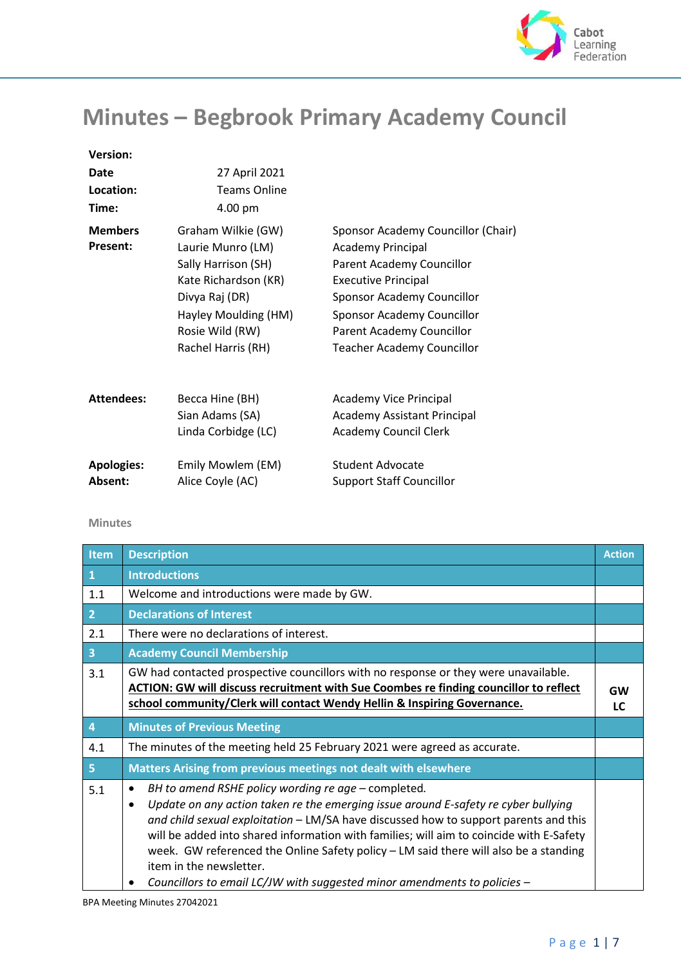

## **Minutes – Begbrook Primary Academy Council**

| <b>Version:</b>                   |                                                                                                                                                                           |                                                                                                                                                                                                                                                         |
|-----------------------------------|---------------------------------------------------------------------------------------------------------------------------------------------------------------------------|---------------------------------------------------------------------------------------------------------------------------------------------------------------------------------------------------------------------------------------------------------|
| Date<br>Location:                 | 27 April 2021<br><b>Teams Online</b>                                                                                                                                      |                                                                                                                                                                                                                                                         |
| Time:                             | 4.00 pm                                                                                                                                                                   |                                                                                                                                                                                                                                                         |
| <b>Members</b><br><b>Present:</b> | Graham Wilkie (GW)<br>Laurie Munro (LM)<br>Sally Harrison (SH)<br>Kate Richardson (KR)<br>Divya Raj (DR)<br>Hayley Moulding (HM)<br>Rosie Wild (RW)<br>Rachel Harris (RH) | Sponsor Academy Councillor (Chair)<br><b>Academy Principal</b><br>Parent Academy Councillor<br><b>Executive Principal</b><br>Sponsor Academy Councillor<br>Sponsor Academy Councillor<br>Parent Academy Councillor<br><b>Teacher Academy Councillor</b> |
| <b>Attendees:</b>                 | Becca Hine (BH)<br>Sian Adams (SA)<br>Linda Corbidge (LC)                                                                                                                 | Academy Vice Principal<br><b>Academy Assistant Principal</b><br><b>Academy Council Clerk</b>                                                                                                                                                            |
| <b>Apologies:</b><br>Absent:      | Emily Mowlem (EM)<br>Alice Coyle (AC)                                                                                                                                     | Student Advocate<br><b>Support Staff Councillor</b>                                                                                                                                                                                                     |

## **Minutes**

| <b>Item</b>             | <b>Description</b>                                                                                                                                                                                                                                                                                                                                                                                                                                                                                                                                         | <b>Action</b>   |
|-------------------------|------------------------------------------------------------------------------------------------------------------------------------------------------------------------------------------------------------------------------------------------------------------------------------------------------------------------------------------------------------------------------------------------------------------------------------------------------------------------------------------------------------------------------------------------------------|-----------------|
| $\mathbf{1}$            | <b>Introductions</b>                                                                                                                                                                                                                                                                                                                                                                                                                                                                                                                                       |                 |
| 1.1                     | Welcome and introductions were made by GW.                                                                                                                                                                                                                                                                                                                                                                                                                                                                                                                 |                 |
| $\overline{2}$          | <b>Declarations of Interest</b>                                                                                                                                                                                                                                                                                                                                                                                                                                                                                                                            |                 |
| 2.1                     | There were no declarations of interest.                                                                                                                                                                                                                                                                                                                                                                                                                                                                                                                    |                 |
| $\overline{\mathbf{3}}$ | <b>Academy Council Membership</b>                                                                                                                                                                                                                                                                                                                                                                                                                                                                                                                          |                 |
| 3.1                     | GW had contacted prospective councillors with no response or they were unavailable.<br>ACTION: GW will discuss recruitment with Sue Coombes re finding councillor to reflect<br>school community/Clerk will contact Wendy Hellin & Inspiring Governance.                                                                                                                                                                                                                                                                                                   | <b>GW</b><br>LC |
| $\overline{4}$          | <b>Minutes of Previous Meeting</b>                                                                                                                                                                                                                                                                                                                                                                                                                                                                                                                         |                 |
| 4.1                     | The minutes of the meeting held 25 February 2021 were agreed as accurate.                                                                                                                                                                                                                                                                                                                                                                                                                                                                                  |                 |
| 5 <sup>1</sup>          | Matters Arising from previous meetings not dealt with elsewhere                                                                                                                                                                                                                                                                                                                                                                                                                                                                                            |                 |
| 5.1                     | BH to amend RSHE policy wording re age - completed.<br>$\bullet$<br>Update on any action taken re the emerging issue around E-safety re cyber bullying<br>$\bullet$<br>and child sexual exploitation - LM/SA have discussed how to support parents and this<br>will be added into shared information with families; will aim to coincide with E-Safety<br>week. GW referenced the Online Safety policy - LM said there will also be a standing<br>item in the newsletter.<br>Councillors to email LC/JW with suggested minor amendments to policies -<br>٠ |                 |

BPA Meeting Minutes 27042021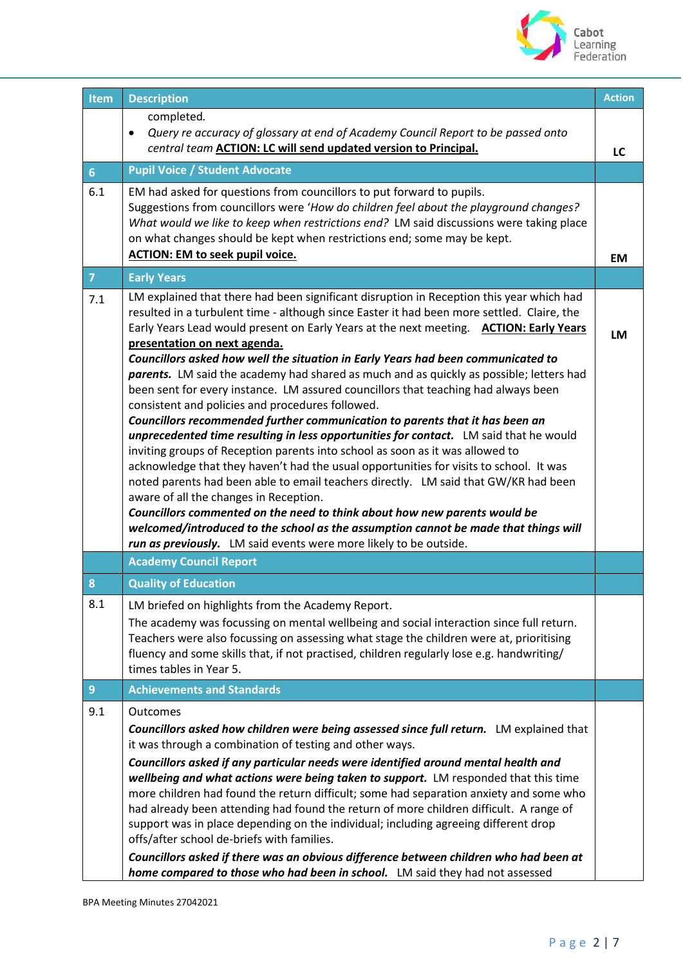

| <b>Item</b>    | <b>Description</b>                                                                                                                                                                                                                                                                                                                                                                                                                                                                                                                                                                                                                                                                                                                                                                                                                                                                                                                                                                                                                                                                                                                                                                                                                                                                                                                                                      | <b>Action</b> |
|----------------|-------------------------------------------------------------------------------------------------------------------------------------------------------------------------------------------------------------------------------------------------------------------------------------------------------------------------------------------------------------------------------------------------------------------------------------------------------------------------------------------------------------------------------------------------------------------------------------------------------------------------------------------------------------------------------------------------------------------------------------------------------------------------------------------------------------------------------------------------------------------------------------------------------------------------------------------------------------------------------------------------------------------------------------------------------------------------------------------------------------------------------------------------------------------------------------------------------------------------------------------------------------------------------------------------------------------------------------------------------------------------|---------------|
|                | completed.<br>Query re accuracy of glossary at end of Academy Council Report to be passed onto<br>$\bullet$<br>central team <b>ACTION: LC will send updated version to Principal.</b>                                                                                                                                                                                                                                                                                                                                                                                                                                                                                                                                                                                                                                                                                                                                                                                                                                                                                                                                                                                                                                                                                                                                                                                   | LC            |
| 6              | <b>Pupil Voice / Student Advocate</b>                                                                                                                                                                                                                                                                                                                                                                                                                                                                                                                                                                                                                                                                                                                                                                                                                                                                                                                                                                                                                                                                                                                                                                                                                                                                                                                                   |               |
| 6.1            | EM had asked for questions from councillors to put forward to pupils.<br>Suggestions from councillors were 'How do children feel about the playground changes?<br>What would we like to keep when restrictions end? LM said discussions were taking place<br>on what changes should be kept when restrictions end; some may be kept.<br><b>ACTION: EM to seek pupil voice.</b>                                                                                                                                                                                                                                                                                                                                                                                                                                                                                                                                                                                                                                                                                                                                                                                                                                                                                                                                                                                          | EM            |
| 7 <sup>1</sup> | <b>Early Years</b>                                                                                                                                                                                                                                                                                                                                                                                                                                                                                                                                                                                                                                                                                                                                                                                                                                                                                                                                                                                                                                                                                                                                                                                                                                                                                                                                                      |               |
| 7.1            | LM explained that there had been significant disruption in Reception this year which had<br>resulted in a turbulent time - although since Easter it had been more settled. Claire, the<br>Early Years Lead would present on Early Years at the next meeting. ACTION: Early Years<br>presentation on next agenda.<br>Councillors asked how well the situation in Early Years had been communicated to<br>parents. LM said the academy had shared as much and as quickly as possible; letters had<br>been sent for every instance. LM assured councillors that teaching had always been<br>consistent and policies and procedures followed.<br>Councillors recommended further communication to parents that it has been an<br>unprecedented time resulting in less opportunities for contact. LM said that he would<br>inviting groups of Reception parents into school as soon as it was allowed to<br>acknowledge that they haven't had the usual opportunities for visits to school. It was<br>noted parents had been able to email teachers directly. LM said that GW/KR had been<br>aware of all the changes in Reception.<br>Councillors commented on the need to think about how new parents would be<br>welcomed/introduced to the school as the assumption cannot be made that things will<br>run as previously. LM said events were more likely to be outside. | LM            |
|                | <b>Academy Council Report</b>                                                                                                                                                                                                                                                                                                                                                                                                                                                                                                                                                                                                                                                                                                                                                                                                                                                                                                                                                                                                                                                                                                                                                                                                                                                                                                                                           |               |
| 8              | <b>Quality of Education</b>                                                                                                                                                                                                                                                                                                                                                                                                                                                                                                                                                                                                                                                                                                                                                                                                                                                                                                                                                                                                                                                                                                                                                                                                                                                                                                                                             |               |
| 8.1            | LM briefed on highlights from the Academy Report.<br>The academy was focussing on mental wellbeing and social interaction since full return.<br>Teachers were also focussing on assessing what stage the children were at, prioritising<br>fluency and some skills that, if not practised, children regularly lose e.g. handwriting/<br>times tables in Year 5.                                                                                                                                                                                                                                                                                                                                                                                                                                                                                                                                                                                                                                                                                                                                                                                                                                                                                                                                                                                                         |               |
| $\overline{9}$ | <b>Achievements and Standards</b>                                                                                                                                                                                                                                                                                                                                                                                                                                                                                                                                                                                                                                                                                                                                                                                                                                                                                                                                                                                                                                                                                                                                                                                                                                                                                                                                       |               |
| 9.1            | Outcomes<br>Councillors asked how children were being assessed since full return. LM explained that<br>it was through a combination of testing and other ways.<br>Councillors asked if any particular needs were identified around mental health and<br>wellbeing and what actions were being taken to support. LM responded that this time<br>more children had found the return difficult; some had separation anxiety and some who<br>had already been attending had found the return of more children difficult. A range of<br>support was in place depending on the individual; including agreeing different drop<br>offs/after school de-briefs with families.<br>Councillors asked if there was an obvious difference between children who had been at<br>home compared to those who had been in school. LM said they had not assessed                                                                                                                                                                                                                                                                                                                                                                                                                                                                                                                           |               |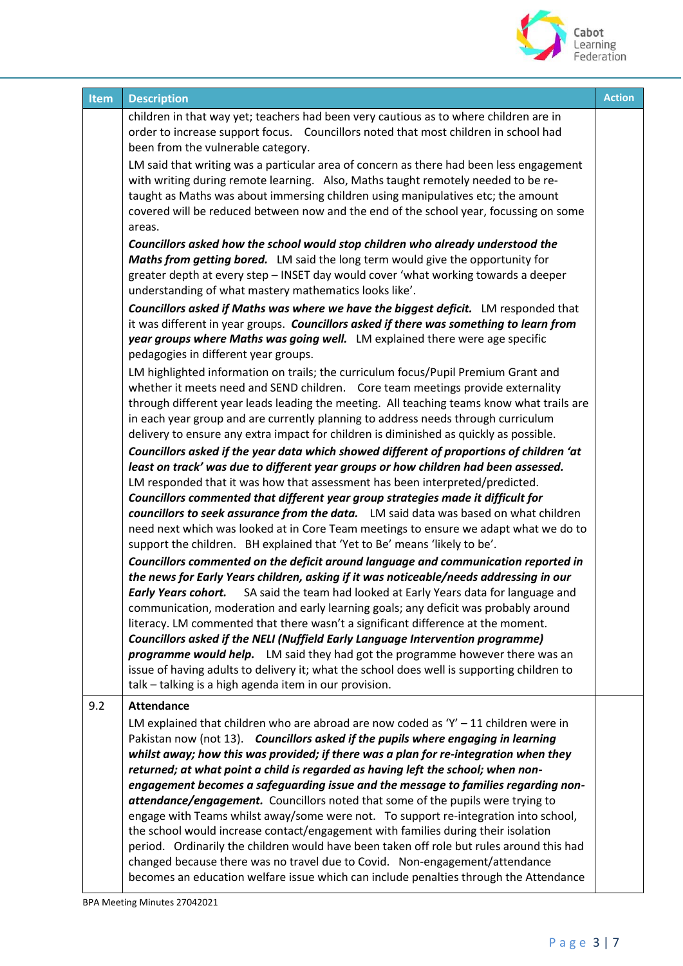

| <b>Item</b> | <b>Description</b>                                                                                                                                                                                                                                                                                                                                                                                                                                                                                                                                                                                                                                                                                                                                                                                                                                                                                                                                                              | <b>Action</b> |
|-------------|---------------------------------------------------------------------------------------------------------------------------------------------------------------------------------------------------------------------------------------------------------------------------------------------------------------------------------------------------------------------------------------------------------------------------------------------------------------------------------------------------------------------------------------------------------------------------------------------------------------------------------------------------------------------------------------------------------------------------------------------------------------------------------------------------------------------------------------------------------------------------------------------------------------------------------------------------------------------------------|---------------|
|             | children in that way yet; teachers had been very cautious as to where children are in<br>order to increase support focus. Councillors noted that most children in school had<br>been from the vulnerable category.                                                                                                                                                                                                                                                                                                                                                                                                                                                                                                                                                                                                                                                                                                                                                              |               |
|             | LM said that writing was a particular area of concern as there had been less engagement<br>with writing during remote learning. Also, Maths taught remotely needed to be re-<br>taught as Maths was about immersing children using manipulatives etc; the amount<br>covered will be reduced between now and the end of the school year, focussing on some                                                                                                                                                                                                                                                                                                                                                                                                                                                                                                                                                                                                                       |               |
|             | areas.                                                                                                                                                                                                                                                                                                                                                                                                                                                                                                                                                                                                                                                                                                                                                                                                                                                                                                                                                                          |               |
|             | Councillors asked how the school would stop children who already understood the<br>Maths from getting bored. LM said the long term would give the opportunity for<br>greater depth at every step - INSET day would cover 'what working towards a deeper<br>understanding of what mastery mathematics looks like'.                                                                                                                                                                                                                                                                                                                                                                                                                                                                                                                                                                                                                                                               |               |
|             | Councillors asked if Maths was where we have the biggest deficit. LM responded that<br>it was different in year groups. Councillors asked if there was something to learn from<br>year groups where Maths was going well. LM explained there were age specific<br>pedagogies in different year groups.                                                                                                                                                                                                                                                                                                                                                                                                                                                                                                                                                                                                                                                                          |               |
|             | LM highlighted information on trails; the curriculum focus/Pupil Premium Grant and<br>whether it meets need and SEND children. Core team meetings provide externality<br>through different year leads leading the meeting. All teaching teams know what trails are<br>in each year group and are currently planning to address needs through curriculum<br>delivery to ensure any extra impact for children is diminished as quickly as possible.                                                                                                                                                                                                                                                                                                                                                                                                                                                                                                                               |               |
|             | Councillors asked if the year data which showed different of proportions of children 'at<br>least on track' was due to different year groups or how children had been assessed.<br>LM responded that it was how that assessment has been interpreted/predicted.                                                                                                                                                                                                                                                                                                                                                                                                                                                                                                                                                                                                                                                                                                                 |               |
|             | Councillors commented that different year group strategies made it difficult for<br>councillors to seek assurance from the data. LM said data was based on what children<br>need next which was looked at in Core Team meetings to ensure we adapt what we do to<br>support the children. BH explained that 'Yet to Be' means 'likely to be'.                                                                                                                                                                                                                                                                                                                                                                                                                                                                                                                                                                                                                                   |               |
|             | Councillors commented on the deficit around language and communication reported in<br>the news for Early Years children, asking if it was noticeable/needs addressing in our<br><b>Early Years cohort.</b> SA said the team had looked at Early Years data for language and<br>communication, moderation and early learning goals; any deficit was probably around<br>literacy. LM commented that there wasn't a significant difference at the moment.<br>Councillors asked if the NELI (Nuffield Early Language Intervention programme)<br>programme would help. LM said they had got the programme however there was an<br>issue of having adults to delivery it; what the school does well is supporting children to<br>talk - talking is a high agenda item in our provision.                                                                                                                                                                                               |               |
| 9.2         | <b>Attendance</b>                                                                                                                                                                                                                                                                                                                                                                                                                                                                                                                                                                                                                                                                                                                                                                                                                                                                                                                                                               |               |
|             | LM explained that children who are abroad are now coded as 'Y' $-11$ children were in<br>Pakistan now (not 13). Councillors asked if the pupils where engaging in learning<br>whilst away; how this was provided; if there was a plan for re-integration when they<br>returned; at what point a child is regarded as having left the school; when non-<br>engagement becomes a safeguarding issue and the message to families regarding non-<br>attendance/engagement. Councillors noted that some of the pupils were trying to<br>engage with Teams whilst away/some were not. To support re-integration into school,<br>the school would increase contact/engagement with families during their isolation<br>period. Ordinarily the children would have been taken off role but rules around this had<br>changed because there was no travel due to Covid. Non-engagement/attendance<br>becomes an education welfare issue which can include penalties through the Attendance |               |

BPA Meeting Minutes 27042021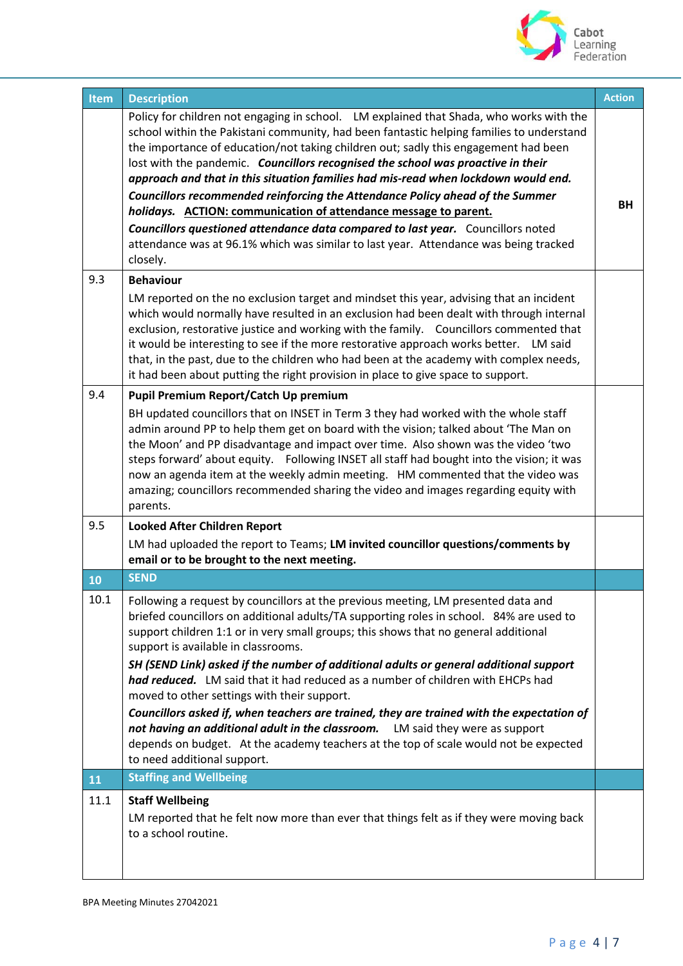

| Item      | <b>Description</b>                                                                                                                                                                                                                                                                                                                                                                                                                                                                                                                                                                                                                                                                                                                                                                                                                         | <b>Action</b> |
|-----------|--------------------------------------------------------------------------------------------------------------------------------------------------------------------------------------------------------------------------------------------------------------------------------------------------------------------------------------------------------------------------------------------------------------------------------------------------------------------------------------------------------------------------------------------------------------------------------------------------------------------------------------------------------------------------------------------------------------------------------------------------------------------------------------------------------------------------------------------|---------------|
|           | Policy for children not engaging in school. LM explained that Shada, who works with the<br>school within the Pakistani community, had been fantastic helping families to understand<br>the importance of education/not taking children out; sadly this engagement had been<br>lost with the pandemic. Councillors recognised the school was proactive in their<br>approach and that in this situation families had mis-read when lockdown would end.<br>Councillors recommended reinforcing the Attendance Policy ahead of the Summer<br>holidays. ACTION: communication of attendance message to parent.<br><b>Councillors questioned attendance data compared to last year.</b> Councillors noted<br>attendance was at 96.1% which was similar to last year. Attendance was being tracked<br>closely.                                    | BН            |
| 9.3       | <b>Behaviour</b>                                                                                                                                                                                                                                                                                                                                                                                                                                                                                                                                                                                                                                                                                                                                                                                                                           |               |
|           | LM reported on the no exclusion target and mindset this year, advising that an incident<br>which would normally have resulted in an exclusion had been dealt with through internal<br>exclusion, restorative justice and working with the family.  Councillors commented that<br>it would be interesting to see if the more restorative approach works better. LM said<br>that, in the past, due to the children who had been at the academy with complex needs,<br>it had been about putting the right provision in place to give space to support.                                                                                                                                                                                                                                                                                       |               |
| 9.4       | Pupil Premium Report/Catch Up premium                                                                                                                                                                                                                                                                                                                                                                                                                                                                                                                                                                                                                                                                                                                                                                                                      |               |
|           | BH updated councillors that on INSET in Term 3 they had worked with the whole staff<br>admin around PP to help them get on board with the vision; talked about 'The Man on<br>the Moon' and PP disadvantage and impact over time. Also shown was the video 'two<br>steps forward' about equity. Following INSET all staff had bought into the vision; it was<br>now an agenda item at the weekly admin meeting. HM commented that the video was<br>amazing; councillors recommended sharing the video and images regarding equity with<br>parents.                                                                                                                                                                                                                                                                                         |               |
| 9.5       | <b>Looked After Children Report</b>                                                                                                                                                                                                                                                                                                                                                                                                                                                                                                                                                                                                                                                                                                                                                                                                        |               |
|           | LM had uploaded the report to Teams; LM invited councillor questions/comments by<br>email or to be brought to the next meeting.                                                                                                                                                                                                                                                                                                                                                                                                                                                                                                                                                                                                                                                                                                            |               |
| 10        | <b>SEND</b>                                                                                                                                                                                                                                                                                                                                                                                                                                                                                                                                                                                                                                                                                                                                                                                                                                |               |
| 10.1      | Following a request by councillors at the previous meeting, LM presented data and<br>briefed councillors on additional adults/TA supporting roles in school. 84% are used to<br>support children 1:1 or in very small groups; this shows that no general additional<br>support is available in classrooms.<br>SH (SEND Link) asked if the number of additional adults or general additional support<br>had reduced. LM said that it had reduced as a number of children with EHCPs had<br>moved to other settings with their support.<br>Councillors asked if, when teachers are trained, they are trained with the expectation of<br>not having an additional adult in the classroom. LM said they were as support<br>depends on budget. At the academy teachers at the top of scale would not be expected<br>to need additional support. |               |
| <b>11</b> | <b>Staffing and Wellbeing</b>                                                                                                                                                                                                                                                                                                                                                                                                                                                                                                                                                                                                                                                                                                                                                                                                              |               |
| 11.1      | <b>Staff Wellbeing</b><br>LM reported that he felt now more than ever that things felt as if they were moving back<br>to a school routine.                                                                                                                                                                                                                                                                                                                                                                                                                                                                                                                                                                                                                                                                                                 |               |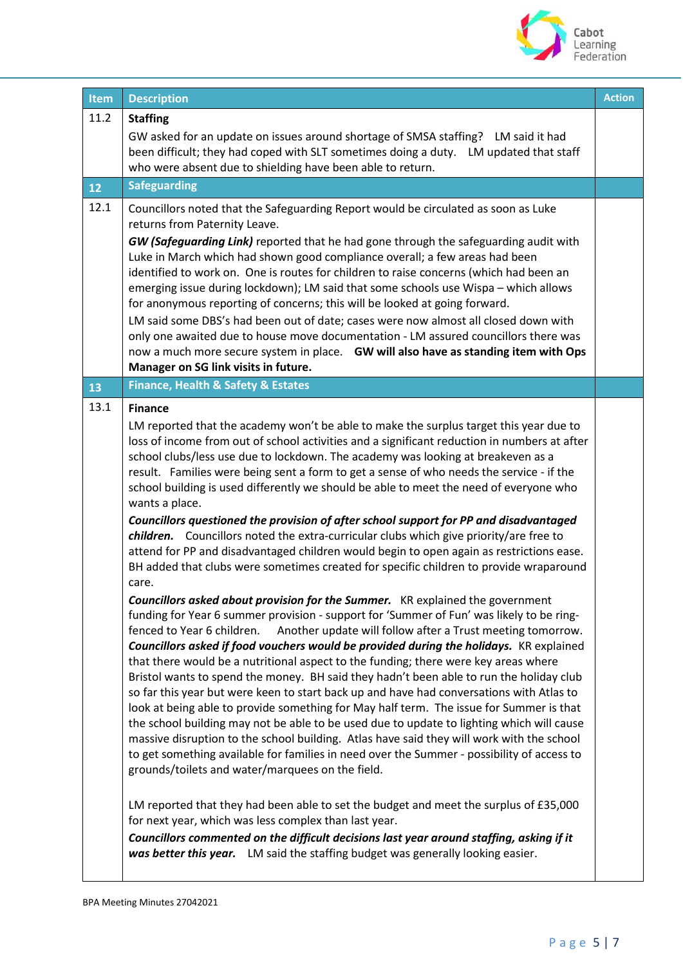

| <b>Item</b> | <b>Description</b>                                                                                                                                                                                                                                                                                                                                                                                                                                                                                                                                                                                                                                                                                                                                                                                                                                                                                                                                                                                                                                                                                                                                                                                                                                                                                                                                                                                                                                                                                                                                                                                                                                                                                                                                                                                                                                                                                                                                                                                                                                                                                                                                                                                                                                                                                                     | <b>Action</b> |
|-------------|------------------------------------------------------------------------------------------------------------------------------------------------------------------------------------------------------------------------------------------------------------------------------------------------------------------------------------------------------------------------------------------------------------------------------------------------------------------------------------------------------------------------------------------------------------------------------------------------------------------------------------------------------------------------------------------------------------------------------------------------------------------------------------------------------------------------------------------------------------------------------------------------------------------------------------------------------------------------------------------------------------------------------------------------------------------------------------------------------------------------------------------------------------------------------------------------------------------------------------------------------------------------------------------------------------------------------------------------------------------------------------------------------------------------------------------------------------------------------------------------------------------------------------------------------------------------------------------------------------------------------------------------------------------------------------------------------------------------------------------------------------------------------------------------------------------------------------------------------------------------------------------------------------------------------------------------------------------------------------------------------------------------------------------------------------------------------------------------------------------------------------------------------------------------------------------------------------------------------------------------------------------------------------------------------------------------|---------------|
| 11.2        | <b>Staffing</b><br>GW asked for an update on issues around shortage of SMSA staffing? LM said it had<br>been difficult; they had coped with SLT sometimes doing a duty. LM updated that staff<br>who were absent due to shielding have been able to return.                                                                                                                                                                                                                                                                                                                                                                                                                                                                                                                                                                                                                                                                                                                                                                                                                                                                                                                                                                                                                                                                                                                                                                                                                                                                                                                                                                                                                                                                                                                                                                                                                                                                                                                                                                                                                                                                                                                                                                                                                                                            |               |
| 12          | <b>Safeguarding</b>                                                                                                                                                                                                                                                                                                                                                                                                                                                                                                                                                                                                                                                                                                                                                                                                                                                                                                                                                                                                                                                                                                                                                                                                                                                                                                                                                                                                                                                                                                                                                                                                                                                                                                                                                                                                                                                                                                                                                                                                                                                                                                                                                                                                                                                                                                    |               |
| 12.1        | Councillors noted that the Safeguarding Report would be circulated as soon as Luke<br>returns from Paternity Leave.<br>GW (Safeguarding Link) reported that he had gone through the safeguarding audit with<br>Luke in March which had shown good compliance overall; a few areas had been<br>identified to work on. One is routes for children to raise concerns (which had been an<br>emerging issue during lockdown); LM said that some schools use Wispa - which allows<br>for anonymous reporting of concerns; this will be looked at going forward.<br>LM said some DBS's had been out of date; cases were now almost all closed down with<br>only one awaited due to house move documentation - LM assured councillors there was<br>now a much more secure system in place. GW will also have as standing item with Ops<br>Manager on SG link visits in future.                                                                                                                                                                                                                                                                                                                                                                                                                                                                                                                                                                                                                                                                                                                                                                                                                                                                                                                                                                                                                                                                                                                                                                                                                                                                                                                                                                                                                                                 |               |
| 13          | Finance, Health & Safety & Estates                                                                                                                                                                                                                                                                                                                                                                                                                                                                                                                                                                                                                                                                                                                                                                                                                                                                                                                                                                                                                                                                                                                                                                                                                                                                                                                                                                                                                                                                                                                                                                                                                                                                                                                                                                                                                                                                                                                                                                                                                                                                                                                                                                                                                                                                                     |               |
| 13.1        | <b>Finance</b><br>LM reported that the academy won't be able to make the surplus target this year due to<br>loss of income from out of school activities and a significant reduction in numbers at after<br>school clubs/less use due to lockdown. The academy was looking at breakeven as a<br>result. Families were being sent a form to get a sense of who needs the service - if the<br>school building is used differently we should be able to meet the need of everyone who<br>wants a place.<br>Councillors questioned the provision of after school support for PP and disadvantaged<br>children. Councillors noted the extra-curricular clubs which give priority/are free to<br>attend for PP and disadvantaged children would begin to open again as restrictions ease.<br>BH added that clubs were sometimes created for specific children to provide wraparound<br>care.<br><b>Councillors asked about provision for the Summer.</b> KR explained the government<br>funding for Year 6 summer provision - support for 'Summer of Fun' was likely to be ring-<br>fenced to Year 6 children.<br>Another update will follow after a Trust meeting tomorrow.<br>Councillors asked if food vouchers would be provided during the holidays. KR explained<br>that there would be a nutritional aspect to the funding; there were key areas where<br>Bristol wants to spend the money. BH said they hadn't been able to run the holiday club<br>so far this year but were keen to start back up and have had conversations with Atlas to<br>look at being able to provide something for May half term. The issue for Summer is that<br>the school building may not be able to be used due to update to lighting which will cause<br>massive disruption to the school building. Atlas have said they will work with the school<br>to get something available for families in need over the Summer - possibility of access to<br>grounds/toilets and water/marquees on the field.<br>LM reported that they had been able to set the budget and meet the surplus of £35,000<br>for next year, which was less complex than last year.<br>Councillors commented on the difficult decisions last year around staffing, asking if it<br>was better this year. LM said the staffing budget was generally looking easier. |               |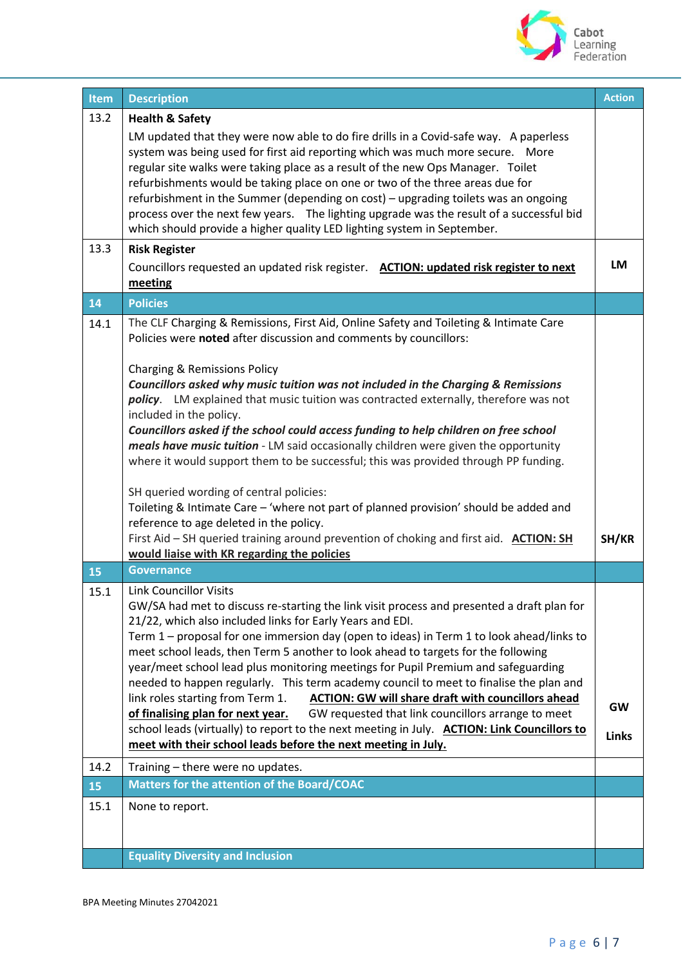

| Item | <b>Description</b>                                                                                                                                                                                                                                                                                                                                                                                                                                                                                                                                                                                                                                                                                                                                                                                                                                                                                                                                                                               | <b>Action</b>             |
|------|--------------------------------------------------------------------------------------------------------------------------------------------------------------------------------------------------------------------------------------------------------------------------------------------------------------------------------------------------------------------------------------------------------------------------------------------------------------------------------------------------------------------------------------------------------------------------------------------------------------------------------------------------------------------------------------------------------------------------------------------------------------------------------------------------------------------------------------------------------------------------------------------------------------------------------------------------------------------------------------------------|---------------------------|
| 13.2 | <b>Health &amp; Safety</b><br>LM updated that they were now able to do fire drills in a Covid-safe way. A paperless<br>system was being used for first aid reporting which was much more secure.  More<br>regular site walks were taking place as a result of the new Ops Manager. Toilet<br>refurbishments would be taking place on one or two of the three areas due for<br>refurbishment in the Summer (depending on cost) - upgrading toilets was an ongoing<br>process over the next few years. The lighting upgrade was the result of a successful bid<br>which should provide a higher quality LED lighting system in September.                                                                                                                                                                                                                                                                                                                                                          |                           |
| 13.3 | <b>Risk Register</b><br>Councillors requested an updated risk register. ACTION: updated risk register to next<br>meeting                                                                                                                                                                                                                                                                                                                                                                                                                                                                                                                                                                                                                                                                                                                                                                                                                                                                         | <b>LM</b>                 |
| 14   | <b>Policies</b>                                                                                                                                                                                                                                                                                                                                                                                                                                                                                                                                                                                                                                                                                                                                                                                                                                                                                                                                                                                  |                           |
| 14.1 | The CLF Charging & Remissions, First Aid, Online Safety and Toileting & Intimate Care<br>Policies were noted after discussion and comments by councillors:<br>Charging & Remissions Policy<br>Councillors asked why music tuition was not included in the Charging & Remissions<br>policy. LM explained that music tuition was contracted externally, therefore was not<br>included in the policy.<br>Councillors asked if the school could access funding to help children on free school<br>meals have music tuition - LM said occasionally children were given the opportunity<br>where it would support them to be successful; this was provided through PP funding.<br>SH queried wording of central policies:<br>Toileting & Intimate Care - 'where not part of planned provision' should be added and<br>reference to age deleted in the policy.<br>First Aid - SH queried training around prevention of choking and first aid. ACTION: SH<br>would liaise with KR regarding the policies | SH/KR                     |
| 15   | <b>Governance</b>                                                                                                                                                                                                                                                                                                                                                                                                                                                                                                                                                                                                                                                                                                                                                                                                                                                                                                                                                                                |                           |
| 15.1 | <b>Link Councillor Visits</b><br>GW/SA had met to discuss re-starting the link visit process and presented a draft plan for<br>21/22, which also included links for Early Years and EDI.<br>Term 1 - proposal for one immersion day (open to ideas) in Term 1 to look ahead/links to<br>meet school leads, then Term 5 another to look ahead to targets for the following<br>year/meet school lead plus monitoring meetings for Pupil Premium and safeguarding<br>needed to happen regularly. This term academy council to meet to finalise the plan and<br>link roles starting from Term 1.<br><b>ACTION: GW will share draft with councillors ahead</b><br>of finalising plan for next year.<br>GW requested that link councillors arrange to meet<br>school leads (virtually) to report to the next meeting in July. ACTION: Link Councillors to<br>meet with their school leads before the next meeting in July.                                                                             | <b>GW</b><br><b>Links</b> |
| 14.2 | Training - there were no updates.                                                                                                                                                                                                                                                                                                                                                                                                                                                                                                                                                                                                                                                                                                                                                                                                                                                                                                                                                                |                           |
| 15   | <b>Matters for the attention of the Board/COAC</b>                                                                                                                                                                                                                                                                                                                                                                                                                                                                                                                                                                                                                                                                                                                                                                                                                                                                                                                                               |                           |
| 15.1 | None to report.<br><b>Equality Diversity and Inclusion</b>                                                                                                                                                                                                                                                                                                                                                                                                                                                                                                                                                                                                                                                                                                                                                                                                                                                                                                                                       |                           |
|      |                                                                                                                                                                                                                                                                                                                                                                                                                                                                                                                                                                                                                                                                                                                                                                                                                                                                                                                                                                                                  |                           |